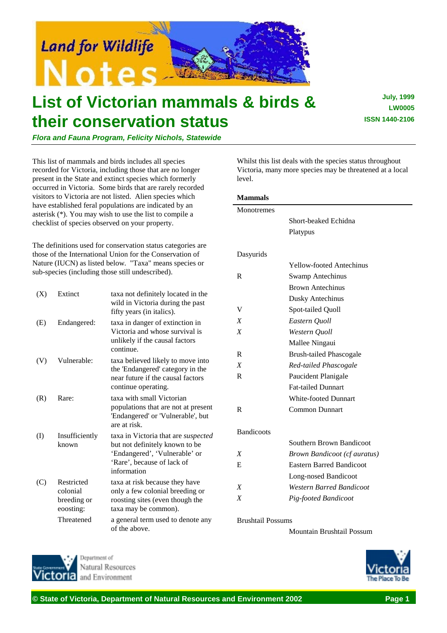

# **List of Victorian mammals & birds & their conservation status**

**July, 1999 LW0005 ISSN 1440-2106**

*Flora and Fauna Program, Felicity Nichols, Statewide*

This list of mammals and birds includes all species recorded for Victoria, including those that are no longer present in the State and extinct species which formerly occurred in Victoria. Some birds that are rarely recorded visitors to Victoria are not listed. Alien species which have established feral populations are indicated by an asterisk (\*). You may wish to use the list to compile a checklist of species observed on your property.

The definitions used for conservation status categories are those of the International Union for the Conservation of Nature (IUCN) as listed below. "Taxa" means species or sub-species (including those still undescribed).

| (X)       | Extinct                                            | taxa not definitely located in the<br>wild in Victoria during the past<br>fifty years (in italics).                                                        |
|-----------|----------------------------------------------------|------------------------------------------------------------------------------------------------------------------------------------------------------------|
| (E)       | Endangered:                                        | taxa in danger of extinction in<br>Victoria and whose survival is<br>unlikely if the causal factors<br>continue.                                           |
| (V)       | Vulnerable:                                        | taxa believed likely to move into<br>the 'Endangered' category in the<br>near future if the causal factors<br>continue operating.                          |
| (R)       | Rare:                                              | taxa with small Victorian<br>populations that are not at present<br>'Endangered' or 'Vulnerable', but<br>are at risk.                                      |
| $\rm (I)$ | Insufficiently<br>known                            | taxa in Victoria that are <i>suspected</i><br>but not definitely known to be<br>'Endangered', 'Vulnerable' or<br>'Rare', because of lack of<br>information |
| (C)       | Restricted<br>colonial<br>breeding or<br>eoosting: | taxa at risk because they have<br>only a few colonial breeding or<br>roosting sites (even though the<br>taxa may be common).                               |
|           | Threatened                                         | a general term used to denote any<br>of the above.                                                                                                         |

Whilst this list deals with the species status throughout Victoria, many more species may be threatened at a local level.

#### **Mammals**

| Monotremes        |                                     |
|-------------------|-------------------------------------|
|                   | Short-beaked Echidna                |
|                   | Platypus                            |
|                   |                                     |
| Dasyurids         |                                     |
|                   | <b>Yellow-footed Antechinus</b>     |
| $\mathbf R$       | <b>Swamp Antechinus</b>             |
|                   | <b>Brown Antechinus</b>             |
|                   | <b>Dusky Antechinus</b>             |
| V                 | Spot-tailed Quoll                   |
| X                 | Eastern Quoll                       |
| X                 | Western Quoll                       |
|                   | Mallee Ningaui                      |
| $\mathbf R$       | <b>Brush-tailed Phascogale</b>      |
| X                 | Red-tailed Phascogale               |
| $\mathsf{R}$      | Paucident Planigale                 |
|                   | <b>Fat-tailed Dunnart</b>           |
|                   | <b>White-footed Dunnart</b>         |
| R                 | <b>Common Dunnart</b>               |
|                   |                                     |
| <b>Bandicoots</b> |                                     |
|                   | Southern Brown Bandicoot            |
| X                 | <b>Brown Bandicoot (cf auratus)</b> |
| E                 | <b>Eastern Barred Bandicoot</b>     |
|                   | Long-nosed Bandicoot                |
| $\boldsymbol{X}$  | <b>Western Barred Bandicoot</b>     |
| Χ                 | Pig-footed Bandicoot                |

Brushtail Possums

Mountain Brushtail Possum



Jenartment of Natural Resources and Environment

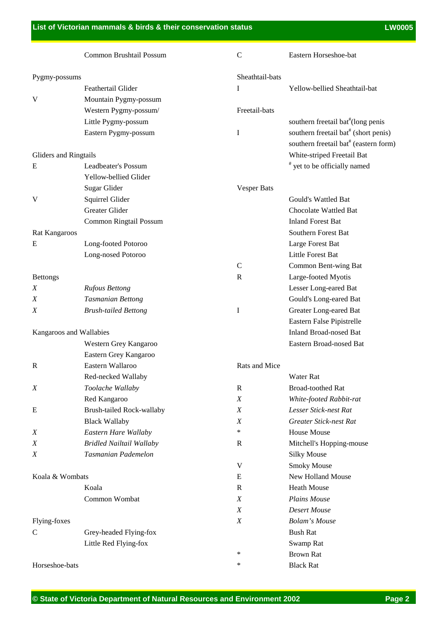|                         | Common Brushtail Possum         | $\mathsf{C}$     | Eastern Horseshoe-bat                             |
|-------------------------|---------------------------------|------------------|---------------------------------------------------|
| Pygmy-possums           |                                 | Sheathtail-bats  |                                                   |
|                         | Feathertail Glider              | I                | Yellow-bellied Sheathtail-bat                     |
| V                       | Mountain Pygmy-possum           |                  |                                                   |
|                         | Western Pygmy-possum/           | Freetail-bats    |                                                   |
|                         | Little Pygmy-possum             |                  | southern freetail bat <sup>#</sup> (long penis    |
|                         | Eastern Pygmy-possum            | I                | southern freetail bat <sup>#</sup> (short penis)  |
|                         |                                 |                  | southern freetail bat <sup>#</sup> (eastern form) |
| Gliders and Ringtails   |                                 |                  | White-striped Freetail Bat                        |
| E                       | Leadbeater's Possum             |                  | # yet to be officially named                      |
|                         | Yellow-bellied Glider           |                  |                                                   |
|                         | Sugar Glider                    | Vesper Bats      |                                                   |
| V                       | Squirrel Glider                 |                  | Gould's Wattled Bat                               |
|                         | Greater Glider                  |                  | Chocolate Wattled Bat                             |
|                         | Common Ringtail Possum          |                  | <b>Inland Forest Bat</b>                          |
| Rat Kangaroos           |                                 |                  | Southern Forest Bat                               |
| Ε                       | Long-footed Potoroo             |                  | Large Forest Bat                                  |
|                         | Long-nosed Potoroo              |                  | Little Forest Bat                                 |
|                         |                                 | $\mathsf{C}$     | Common Bent-wing Bat                              |
| <b>Bettongs</b>         |                                 | R                | Large-footed Myotis                               |
| X                       | <b>Rufous Bettong</b>           |                  | Lesser Long-eared Bat                             |
| Χ                       | <b>Tasmanian Bettong</b>        |                  | Gould's Long-eared Bat                            |
| Χ                       | <b>Brush-tailed Bettong</b>     | I                | Greater Long-eared Bat                            |
|                         |                                 |                  | Eastern False Pipistrelle                         |
| Kangaroos and Wallabies |                                 |                  | <b>Inland Broad-nosed Bat</b>                     |
|                         | Western Grey Kangaroo           |                  | Eastern Broad-nosed Bat                           |
|                         | Eastern Grey Kangaroo           |                  |                                                   |
| R                       | Eastern Wallaroo                | Rats and Mice    |                                                   |
|                         | Red-necked Wallaby              |                  | <b>Water Rat</b>                                  |
| X                       | Toolache Wallaby                | $\mathbb{R}$     | <b>Broad-toothed Rat</b>                          |
|                         | Red Kangaroo                    | X                | White-footed Rabbit-rat                           |
| Ε                       | Brush-tailed Rock-wallaby       | X                | Lesser Stick-nest Rat                             |
|                         | <b>Black Wallaby</b>            | X                | <b>Greater Stick-nest Rat</b>                     |
| X                       | Eastern Hare Wallaby            | $\ast$           | <b>House Mouse</b>                                |
| X                       | <b>Bridled Nailtail Wallaby</b> | R                | Mitchell's Hopping-mouse                          |
| X                       | Tasmanian Pademelon             |                  | <b>Silky Mouse</b>                                |
|                         |                                 | V                | <b>Smoky Mouse</b>                                |
| Koala & Wombats         |                                 | E                | New Holland Mouse                                 |
|                         | Koala                           | R                | <b>Heath Mouse</b>                                |
|                         | Common Wombat                   | X                | <b>Plains Mouse</b>                               |
|                         |                                 | X                | <b>Desert Mouse</b>                               |
| Flying-foxes            |                                 | $\boldsymbol{X}$ | <b>Bolam's Mouse</b>                              |
| C                       | Grey-headed Flying-fox          |                  | <b>Bush Rat</b>                                   |
|                         | Little Red Flying-fox           |                  | Swamp Rat                                         |
|                         |                                 | ∗                | <b>Brown Rat</b>                                  |
| Horseshoe-bats          |                                 | ∗                | <b>Black Rat</b>                                  |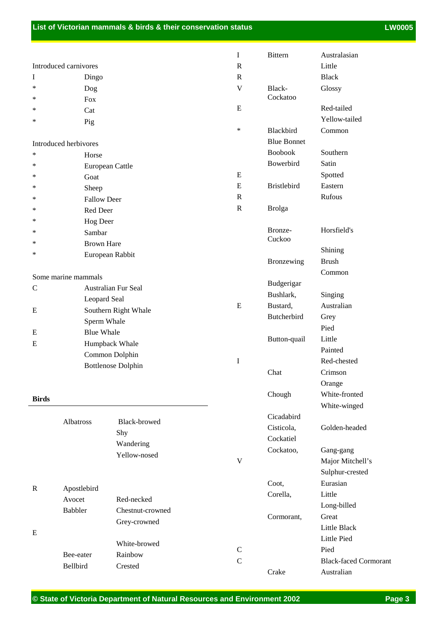|               |                       |                           | I                         | <b>Bittern</b>     | Australasian                 |
|---------------|-----------------------|---------------------------|---------------------------|--------------------|------------------------------|
|               | Introduced carnivores |                           | $\mathbb{R}$              |                    | Little                       |
| I             | Dingo                 |                           | $\mathbf R$               |                    | <b>Black</b>                 |
| ∗             | Dog                   |                           | $\mathbf V$               | Black-             | Glossy                       |
| ∗             | Fox                   |                           |                           | Cockatoo           |                              |
| ∗             | Cat                   |                           | $\mathbf E$               |                    | Red-tailed                   |
| ∗             | Pig                   |                           |                           |                    | Yellow-tailed                |
|               |                       |                           | $\ast$                    | Blackbird          | Common                       |
|               | Introduced herbivores |                           |                           | <b>Blue Bonnet</b> |                              |
| $\ast$        | Horse                 |                           |                           | <b>Boobook</b>     | Southern                     |
| ∗             |                       | European Cattle           |                           | Bowerbird          | Satin                        |
| ∗             | Goat                  |                           | E                         |                    | Spotted                      |
| ∗             | Sheep                 |                           | ${\bf E}$                 | <b>Bristlebird</b> | Eastern                      |
| ∗             | <b>Fallow Deer</b>    |                           | $\mathbb{R}$              |                    | Rufous                       |
| ∗             | Red Deer              |                           | $\mathbb{R}$              | <b>Brolga</b>      |                              |
| ∗             | Hog Deer              |                           |                           |                    |                              |
| ∗             | Sambar                |                           |                           | Bronze-            | Horsfield's                  |
| ∗             | <b>Brown Hare</b>     |                           |                           | Cuckoo             |                              |
| ∗             |                       | European Rabbit           |                           |                    | Shining                      |
|               |                       |                           |                           | Bronzewing         | <b>Brush</b>                 |
|               | Some marine mammals   |                           |                           |                    | Common                       |
| $\mathcal{C}$ |                       | Australian Fur Seal       |                           | Budgerigar         |                              |
|               | Leopard Seal          |                           |                           | Bushlark,          | Singing                      |
| Ε             |                       | Southern Right Whale      | E                         | Bustard,           | Australian                   |
|               |                       | Sperm Whale               |                           | Butcherbird        | Grey                         |
| Ε             | <b>Blue Whale</b>     |                           |                           |                    | Pied                         |
| Ε             |                       | Humpback Whale            |                           | Button-quail       | Little                       |
|               |                       | Common Dolphin            |                           |                    | Painted                      |
|               |                       | <b>Bottlenose Dolphin</b> | I                         |                    | Red-chested                  |
|               |                       |                           |                           | Chat               | Crimson                      |
|               |                       |                           |                           |                    | Orange                       |
| <b>Birds</b>  |                       |                           |                           | Chough             | White-fronted                |
|               |                       |                           |                           |                    | White-winged                 |
|               | Albatross             | Black-browed              |                           | Cicadabird         |                              |
|               |                       | Shy                       |                           | Cisticola,         | Golden-headed                |
|               |                       | Wandering                 |                           | Cockatiel          |                              |
|               |                       | Yellow-nosed              |                           | Cockatoo,          | Gang-gang                    |
|               |                       |                           | $\ensuremath{\mathbf{V}}$ |                    | Major Mitchell's             |
|               |                       |                           |                           |                    | Sulphur-crested              |
| $\mathbf R$   | Apostlebird           |                           |                           | Coot,              | Eurasian                     |
|               | Avocet                | Red-necked                |                           | Corella,           | Little                       |
|               | <b>Babbler</b>        | Chestnut-crowned          |                           |                    | Long-billed                  |
|               |                       | Grey-crowned              |                           | Cormorant,         | Great                        |
| E             |                       |                           |                           |                    | Little Black                 |
|               |                       | White-browed              |                           |                    | Little Pied                  |
|               | Bee-eater             | Rainbow                   | $\mathbf C$               |                    | Pied                         |
|               | Bellbird              | Crested                   | $\mathsf{C}$              |                    | <b>Black-faced Cormorant</b> |
|               |                       |                           |                           | Crake              | Australian                   |

Ē,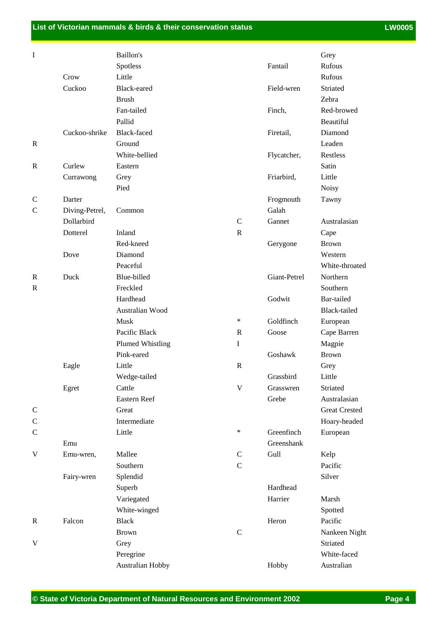| $\mathbf I$               |                | Baillon's          |               |              | Grey                 |
|---------------------------|----------------|--------------------|---------------|--------------|----------------------|
|                           |                | Spotless           |               | Fantail      | Rufous               |
|                           | Crow           | Little             |               |              | Rufous               |
|                           | Cuckoo         | Black-eared        |               | Field-wren   | Striated             |
|                           |                | <b>Brush</b>       |               |              | Zebra                |
|                           |                | Fan-tailed         |               | Finch,       | Red-browed           |
|                           |                | Pallid             |               |              | Beautiful            |
|                           | Cuckoo-shrike  | <b>Black-faced</b> |               | Firetail,    | Diamond              |
| $\mathbb{R}$              |                | Ground             |               |              | Leaden               |
|                           |                | White-bellied      |               | Flycatcher,  | Restless             |
| ${\tt R}$                 | Curlew         | Eastern            |               |              | Satin                |
|                           | Currawong      | Grey               |               | Friarbird,   | Little               |
|                           |                | Pied               |               |              | <b>Noisy</b>         |
| $\mathsf{C}$              | Darter         |                    |               | Frogmouth    | Tawny                |
| $\mathcal{C}$             | Diving-Petrel, | Common             |               | Galah        |                      |
|                           | Dollarbird     |                    | $\mathbf C$   | Gannet       | Australasian         |
|                           | Dotterel       | Inland             | $\mathbf R$   |              | Cape                 |
|                           |                | Red-kneed          |               | Gerygone     | <b>Brown</b>         |
|                           | Dove           | Diamond            |               |              | Western              |
|                           |                | Peaceful           |               |              | White-throated       |
| $\mathbb{R}$              | Duck           | Blue-billed        |               | Giant-Petrel | Northern             |
| R                         |                | Freckled           |               |              | Southern             |
|                           |                | Hardhead           |               | Godwit       | Bar-tailed           |
|                           |                |                    |               |              |                      |
|                           |                | Australian Wood    | $\ast$        |              | Black-tailed         |
|                           |                | Musk               |               | Goldfinch    | European             |
|                           |                | Pacific Black      | $\mathbf R$   | Goose        | Cape Barren          |
|                           |                | Plumed Whistling   | $\bf I$       |              | Magpie               |
|                           |                | Pink-eared         |               | Goshawk      | <b>Brown</b>         |
|                           | Eagle          | Little             | $\mathbf R$   |              | Grey                 |
|                           |                | Wedge-tailed       |               | Grassbird    | Little               |
|                           | Egret          | Cattle             | $\mathbf V$   | Grasswren    | Striated             |
|                           |                | Eastern Reef       |               | Grebe        | Australasian         |
| $\mathbf C$               |                | Great              |               |              | <b>Great Crested</b> |
| $\mathbf C$               |                | Intermediate       |               |              | Hoary-headed         |
| $\mathcal{C}$             |                | Little             | $\ast$        | Greenfinch   | European             |
|                           | Emu            |                    |               | Greenshank   |                      |
| $\boldsymbol{\mathrm{V}}$ | Emu-wren,      | Mallee             | $\mathcal{C}$ | Gull         | Kelp                 |
|                           |                | Southern           | $\mathbf C$   |              | Pacific              |
|                           | Fairy-wren     | Splendid           |               |              | Silver               |
|                           |                | Superb             |               | Hardhead     |                      |
|                           |                | Variegated         |               | Harrier      | Marsh                |
|                           |                | White-winged       |               |              | Spotted              |
| $\mathbf R$               | Falcon         | <b>Black</b>       |               | Heron        | Pacific              |
|                           |                | <b>Brown</b>       | $\mathbf C$   |              | Nankeen Night        |
| $\mathbf V$               |                | Grey               |               |              | Striated             |
|                           |                | Peregrine          |               |              | White-faced          |
|                           |                | Australian Hobby   |               | Hobby        | Australian           |
|                           |                |                    |               |              |                      |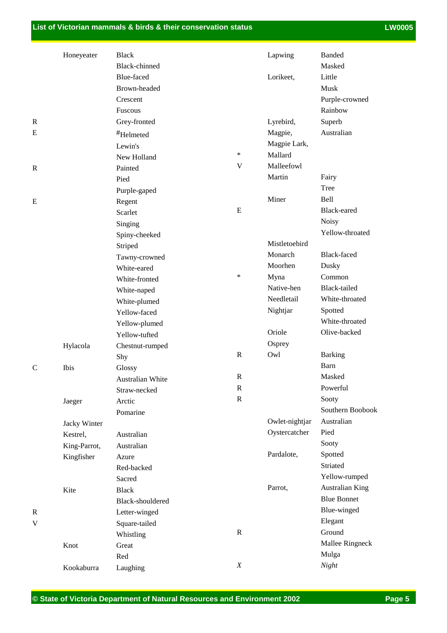### **List of Victorian mammals & birds & their conservation status LEGEN CONSTRANTING CONSTRANTING CONSTRANTING CONSTRANTING CONSTRANTING CONSTRANTING CONSTRANTING CONSTRANTING CONSTRANTING CONSTRANTING CONSTRANTING CONSTRAN**

|               | Honeyeater   | <b>Black</b>         |              | Lapwing        | <b>Banded</b>          |
|---------------|--------------|----------------------|--------------|----------------|------------------------|
|               |              | <b>Black-chinned</b> |              |                | Masked                 |
|               |              | Blue-faced           |              | Lorikeet,      | Little                 |
|               |              | Brown-headed         |              |                | Musk                   |
|               |              | Crescent             |              |                | Purple-crowned         |
|               |              | Fuscous              |              |                | Rainbow                |
| R             |              | Grey-fronted         |              | Lyrebird,      | Superb                 |
| E             |              | #Helmeted            |              | Magpie,        | Australian             |
|               |              | Lewin's              |              | Magpie Lark,   |                        |
|               |              | New Holland          | $\ast$       | Mallard        |                        |
| $\mathbb{R}$  |              | Painted              | V            | Malleefowl     |                        |
|               |              | Pied                 |              | Martin         | Fairy                  |
|               |              | Purple-gaped         |              |                | Tree                   |
| E             |              | Regent               |              | Miner          | <b>Bell</b>            |
|               |              | Scarlet              | E            |                | Black-eared            |
|               |              | Singing              |              |                | <b>Noisy</b>           |
|               |              | Spiny-cheeked        |              |                | Yellow-throated        |
|               |              | Striped              |              | Mistletoebird  |                        |
|               |              | Tawny-crowned        |              | Monarch        | <b>Black-faced</b>     |
|               |              | White-eared          |              | Moorhen        | Dusky                  |
|               |              | White-fronted        | $\ast$       | Myna           | Common                 |
|               |              | White-naped          |              | Native-hen     | <b>Black-tailed</b>    |
|               |              | White-plumed         |              | Needletail     | White-throated         |
|               |              | Yellow-faced         |              | Nightjar       | Spotted                |
|               |              | Yellow-plumed        |              |                | White-throated         |
|               |              | Yellow-tufted        |              | Oriole         | Olive-backed           |
|               | Hylacola     | Chestnut-rumped      |              | Osprey         |                        |
|               |              | Shy                  | $\mathbb{R}$ | Owl            | <b>Barking</b>         |
| $\mathcal{C}$ | Ibis         | Glossy               |              |                | Barn                   |
|               |              | Australian White     | $\mathbb{R}$ |                | Masked                 |
|               |              | Straw-necked         | $\mathbf R$  |                | Powerful               |
|               | Jaeger       | Arctic               | $\mathbb{R}$ |                | Sooty                  |
|               |              | Pomarine             |              |                | Southern Boobook       |
|               | Jacky Winter |                      |              | Owlet-nightjar | Australian             |
|               | Kestrel,     | Australian           |              | Oystercatcher  | Pied                   |
|               | King-Parrot, | Australian           |              |                | Sooty                  |
|               | Kingfisher   | Azure                |              | Pardalote,     | Spotted                |
|               |              | Red-backed           |              |                | Striated               |
|               |              | Sacred               |              |                | Yellow-rumped          |
|               | Kite         | <b>Black</b>         |              | Parrot,        | <b>Australian King</b> |
|               |              | Black-shouldered     |              |                | <b>Blue Bonnet</b>     |
| R             |              | Letter-winged        |              |                | Blue-winged            |
| V             |              | Square-tailed        |              |                | Elegant                |
|               |              | Whistling            | $\mathbb{R}$ |                | Ground                 |
|               | Knot         | Great                |              |                | Mallee Ringneck        |
|               |              | Red                  |              |                | Mulga                  |
|               | Kookaburra   | Laughing             | X            |                | Night                  |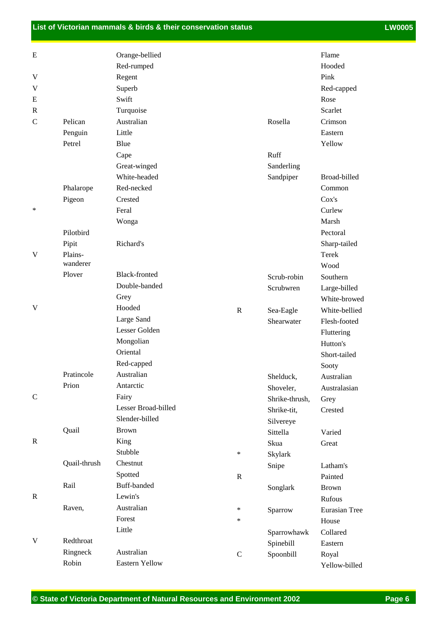## **List of Victorian mammals & birds & their conservation status LEGEN CONSTRANTING CONSTRANTING CONSTRANTING CONSTRANTING CONSTRANTING CONSTRANTING CONSTRANTING CONSTRANTING CONSTRANTING CONSTRANTING CONSTRANTING CONSTRAN**

| Ε             |                  | Orange-bellied        |              |                               | Flame                        |
|---------------|------------------|-----------------------|--------------|-------------------------------|------------------------------|
|               |                  | Red-rumped            |              |                               | Hooded                       |
| V             |                  | Regent                |              |                               | Pink                         |
| V             |                  | Superb                |              |                               | Red-capped                   |
| E             |                  | Swift                 |              |                               | Rose                         |
| R             |                  | Turquoise             |              |                               | Scarlet                      |
| $\mathcal{C}$ | Pelican          | Australian            |              | Rosella                       | Crimson                      |
|               | Penguin          | Little                |              |                               | Eastern                      |
|               | Petrel           | Blue                  |              |                               | Yellow                       |
|               |                  | Cape                  |              | Ruff                          |                              |
|               |                  | Great-winged          |              | Sanderling                    |                              |
|               |                  | White-headed          |              | Sandpiper                     | Broad-billed                 |
|               | Phalarope        | Red-necked            |              |                               | Common                       |
|               | Pigeon           | Crested               |              |                               | Cox's                        |
| ∗             |                  | Feral                 |              |                               | Curlew                       |
|               |                  |                       |              |                               | Marsh                        |
|               | Pilotbird        | Wonga                 |              |                               | Pectoral                     |
|               |                  | Richard's             |              |                               |                              |
| V             | Pipit<br>Plains- |                       |              |                               | Sharp-tailed<br>Terek        |
|               | wanderer         |                       |              |                               | Wood                         |
|               | Plover           | <b>Black-fronted</b>  |              | Scrub-robin                   | Southern                     |
|               |                  | Double-banded         |              | Scrubwren                     |                              |
|               |                  | Grey                  |              |                               | Large-billed<br>White-browed |
| V             |                  | Hooded                | $\mathbb{R}$ |                               | White-bellied                |
|               |                  | Large Sand            |              | Sea-Eagle<br>Shearwater       | Flesh-footed                 |
|               |                  | Lesser Golden         |              |                               | Fluttering                   |
|               |                  | Mongolian             |              |                               | Hutton's                     |
|               |                  | Oriental              |              |                               | Short-tailed                 |
|               |                  | Red-capped            |              |                               |                              |
|               | Pratincole       | Australian            |              | Shelduck,                     | Sooty<br>Australian          |
|               | Prion            | Antarctic             |              | Shoveler,                     | Australasian                 |
| $\mathsf{C}$  |                  | Fairy                 |              |                               |                              |
|               |                  | Lesser Broad-billed   |              | Shrike-thrush,<br>Shrike-tit, | Grey<br>Crested              |
|               |                  | Slender-billed        |              | Silvereye                     |                              |
|               | Quail            | <b>Brown</b>          |              | Sittella                      | Varied                       |
| $\mathbf R$   |                  | King                  |              | Skua                          | Great                        |
|               |                  | Stubble               | $\ast$       |                               |                              |
|               | Quail-thrush     | Chestnut              |              | Skylark                       | Latham's                     |
|               |                  | Spotted               | $\mathbf R$  | Snipe                         | Painted                      |
|               | Rail             | Buff-banded           |              |                               |                              |
| $\mathbf R$   |                  | Lewin's               |              | Songlark                      | <b>Brown</b><br>Rufous       |
|               | Raven,           | Australian            | $\ast$       |                               |                              |
|               |                  | Forest                | $\ast$       | Sparrow                       | Eurasian Tree                |
|               |                  | Little                |              |                               | House                        |
| V             | Redthroat        |                       |              | Sparrowhawk                   | Collared                     |
|               | Ringneck         | Australian            |              | Spinebill                     | Eastern                      |
|               | Robin            | <b>Eastern Yellow</b> | $\mathsf{C}$ | Spoonbill                     | Royal                        |
|               |                  |                       |              |                               | Yellow-billed                |